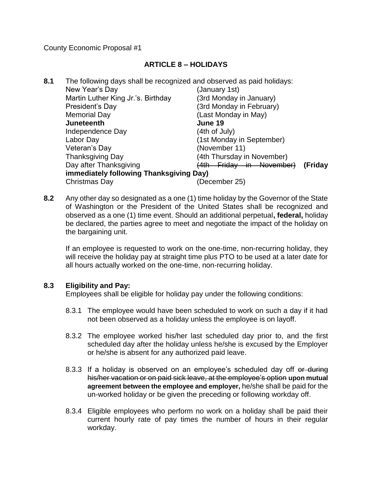County Economic Proposal #1

### **ARTICLE 8 – HOLIDAYS**

- **8.1** The following days shall be recognized and observed as paid holidays: New Year's Day (January 1st) Martin Luther King Jr.'s. Birthday (3rd Monday in January) President's Day (3rd Monday in February) Memorial Day (Last Monday in May) **Juneteenth June 19** Independence Day (4th of July) Labor Day (1st Monday in September) Veteran's Day (November 11) Thanksgiving Day (4th Thursday in November) Day after Thanksgiving (4th Friday in November) **(Friday immediately following Thanksgiving Day)** Christmas Day (December 25)
- **8.2** Any other day so designated as a one (1) time holiday by the Governor of the State of Washington or the President of the United States shall be recognized and observed as a one (1) time event. Should an additional perpetual**, federal,** holiday be declared, the parties agree to meet and negotiate the impact of the holiday on the bargaining unit.

If an employee is requested to work on the one-time, non-recurring holiday, they will receive the holiday pay at straight time plus PTO to be used at a later date for all hours actually worked on the one-time, non-recurring holiday.

#### **8.3 Eligibility and Pay:**

Employees shall be eligible for holiday pay under the following conditions:

- 8.3.1 The employee would have been scheduled to work on such a day if it had not been observed as a holiday unless the employee is on layoff.
- 8.3.2 The employee worked his/her last scheduled day prior to, and the first scheduled day after the holiday unless he/she is excused by the Employer or he/she is absent for any authorized paid leave.
- 8.3.3 If a holiday is observed on an employee's scheduled day off or during his/her vacation or on paid sick leave, at the employee's option **upon mutual agreement between the employee and employer,** he/she shall be paid for the un-worked holiday or be given the preceding or following workday off.
- 8.3.4 Eligible employees who perform no work on a holiday shall be paid their current hourly rate of pay times the number of hours in their regular workday.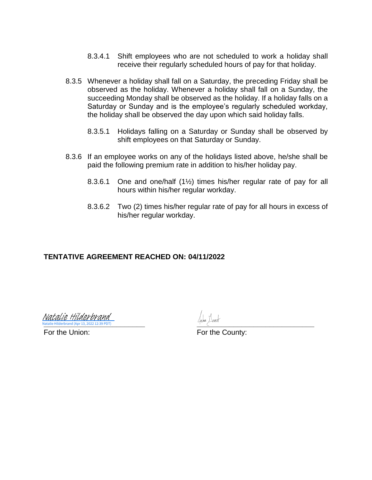- 8.3.4.1 Shift employees who are not scheduled to work a holiday shall receive their regularly scheduled hours of pay for that holiday.
- 8.3.5 Whenever a holiday shall fall on a Saturday, the preceding Friday shall be observed as the holiday. Whenever a holiday shall fall on a Sunday, the succeeding Monday shall be observed as the holiday. If a holiday falls on a Saturday or Sunday and is the employee's regularly scheduled workday, the holiday shall be observed the day upon which said holiday falls.
	- 8.3.5.1 Holidays falling on a Saturday or Sunday shall be observed by shift employees on that Saturday or Sunday.
- 8.3.6 If an employee works on any of the holidays listed above, he/she shall be paid the following premium rate in addition to his/her holiday pay.
	- 8.3.6.1 One and one/half (1½) times his/her regular rate of pay for all hours within his/her regular workday.
	- 8.3.6.2 Two (2) times his/her regular rate of pay for all hours in excess of his/her regular workday.

#### **TENTATIVE AGREEMENT REACHED ON: 04/11/2022**

**atalie Hilderbrand (Apr 13, 2022 12:39 PDT)** Natalie Hilderbrand (Apr 13, 2022 12:39 PDT) Natalie Hilderbrand

For the Union: The County: For the County: